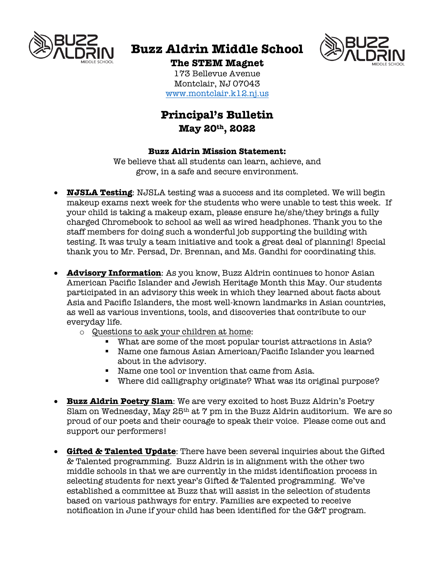

# **Buzz Aldrin Middle School**



## **The STEM Magnet**

173 Bellevue Avenue Montclair, NJ 07043 www.montclair.k12.nj.us

# **Principal's Bulletin May 20th, 2022**

#### **Buzz Aldrin Mission Statement:**

We believe that all students can learn, achieve, and grow, in a safe and secure environment.

- **NJSLA Testing**: NJSLA testing was a success and its completed. We will begin makeup exams next week for the students who were unable to test this week. If your child is taking a makeup exam, please ensure he/she/they brings a fully charged Chromebook to school as well as wired headphones. Thank you to the staff members for doing such a wonderful job supporting the building with testing. It was truly a team initiative and took a great deal of planning! Special thank you to Mr. Persad, Dr. Brennan, and Ms. Gandhi for coordinating this.
- **Advisory Information**: As you know, Buzz Aldrin continues to honor Asian American Pacific Islander and Jewish Heritage Month this May. Our students participated in an advisory this week in which they learned about facts about Asia and Pacific Islanders, the most well-known landmarks in Asian countries, as well as various inventions, tools, and discoveries that contribute to our everyday life.
	- o Questions to ask your children at home:
		- § What are some of the most popular tourist attractions in Asia?
		- § Name one famous Asian American/Pacific Islander you learned about in the advisory.
		- Name one tool or invention that came from Asia.
		- Where did calligraphy originate? What was its original purpose?
- **Buzz Aldrin Poetry Slam**: We are very excited to host Buzz Aldrin's Poetry Slam on Wednesday, May  $25<sup>th</sup>$  at  $7$  pm in the Buzz Aldrin auditorium. We are so proud of our poets and their courage to speak their voice. Please come out and support our performers!
- **Gifted & Talented Update**: There have been several inquiries about the Gifted & Talented programming. Buzz Aldrin is in alignment with the other two middle schools in that we are currently in the midst identification process in selecting students for next year's Gifted & Talented programming. We've established a committee at Buzz that will assist in the selection of students based on various pathways for entry. Families are expected to receive notification in June if your child has been identified for the G&T program.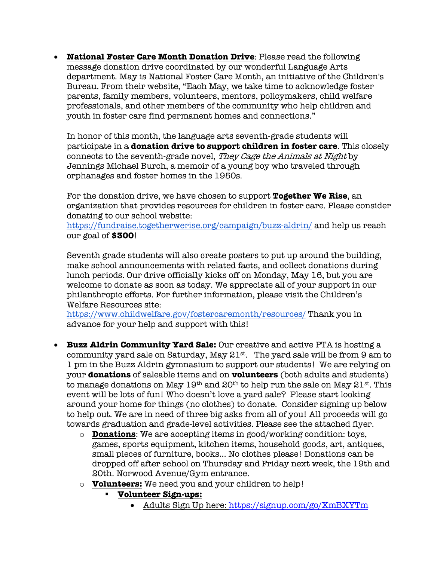• **National Foster Care Month Donation Drive**: Please read the following message donation drive coordinated by our wonderful Language Arts department. May is National Foster Care Month, an initiative of the Children's Bureau. From their website, "Each May, we take time to acknowledge foster parents, family members, volunteers, mentors, policymakers, child welfare professionals, and other members of the community who help children and youth in foster care find permanent homes and connections."

In honor of this month, the language arts seventh-grade students will participate in a **donation drive to support children in foster care**. This closely connects to the seventh-grade novel, They Cage the Animals at Night by Jennings Michael Burch, a memoir of a young boy who traveled through orphanages and foster homes in the 1950s.

For the donation drive, we have chosen to support **Together We Rise**, an organization that provides resources for children in foster care. Please consider donating to our school website:

https://fundraise.togetherwerise.org/campaign/buzz-aldrin/ and help us reach our goal of **\$300**!

Seventh grade students will also create posters to put up around the building, make school announcements with related facts, and collect donations during lunch periods. Our drive officially kicks off on Monday, May 16, but you are welcome to donate as soon as today. We appreciate all of your support in our philanthropic efforts. For further information, please visit the Children's Welfare Resources site:

https://www.childwelfare.gov/fostercaremonth/resources/ Thank you in advance for your help and support with this!

- **Buzz Aldrin Community Yard Sale:** Our creative and active PTA is hosting a community yard sale on Saturday, May  $21^{st}$ . The yard sale will be from 9 am to 1 pm in the Buzz Aldrin gymnasium to support our students! We are relying on your **donations** of saleable items and on **volunteers** (both adults and students) to manage donations on May  $19<sup>th</sup>$  and  $20<sup>th</sup>$  to help run the sale on May  $21<sup>st</sup>$ . This event will be lots of fun! Who doesn't love a yard sale? Please start looking around your home for things (no clothes) to donate. Consider signing up below to help out. We are in need of three big asks from all of you! All proceeds will go towards graduation and grade-level activities. Please see the attached flyer.
	- o **Donations**: We are accepting items in good/working condition: toys, games, sports equipment, kitchen items, household goods, art, antiques, small pieces of furniture, books... No clothes please! Donations can be dropped off after school on Thursday and Friday next week, the 19th and 20th. Norwood Avenue/Gym entrance.
	- o **Volunteers:** We need you and your children to help!
		- § **Volunteer Sign-ups:**
			- Adults Sign Up here: https://signup.com/go/XmBXYTm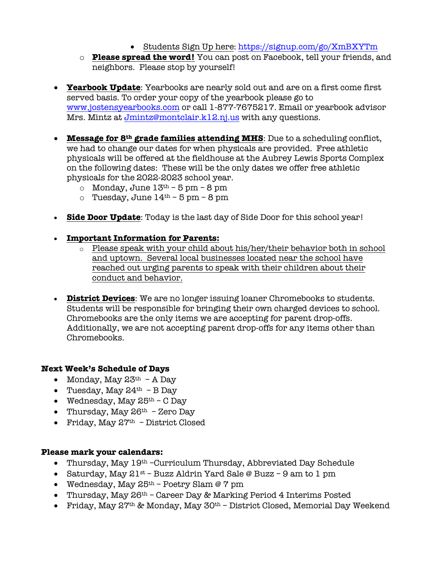- Students Sign Up here: https://signup.com/go/XmBXYTm
- o **Please spread the word!** You can post on Facebook, tell your friends, and neighbors. Please stop by yourself!
- **Yearbook Update**: Yearbooks are nearly sold out and are on a first come first served basis. To order your copy of the yearbook please go to www.jostensyearbooks.com or call 1-877-7675217. Email or yearbook advisor Mrs. Mintz at Jmintz@montclair.k12.nj.us with any questions.
- **Message for 8th grade families attending MHS**: Due to a scheduling conflict, we had to change our dates for when physicals are provided. Free athletic physicals will be offered at the fieldhouse at the Aubrey Lewis Sports Complex on the following dates: These will be the only dates we offer free athletic physicals for the 2022-2023 school year.
	- o Monday, June  $13<sup>th</sup> 5$  pm  $8$  pm
	- o Tuesday, June  $14^{th}$  5 pm 8 pm
- **Side Door Update**: Today is the last day of Side Door for this school year!
- **Important Information for Parents:**
	- $\circ$  Please speak with your child about his/her/their behavior both in school and uptown. Several local businesses located near the school have reached out urging parents to speak with their children about their conduct and behavior.
- **District Devices**: We are no longer issuing loaner Chromebooks to students. Students will be responsible for bringing their own charged devices to school. Chromebooks are the only items we are accepting for parent drop-offs. Additionally, we are not accepting parent drop-offs for any items other than Chromebooks.

#### **Next Week's Schedule of Days**

- Monday, May  $23<sup>th</sup>$  A Day
- Tuesday, May  $24<sup>th</sup>$  B Dav
- Wednesday, May  $25<sup>th</sup>$  C Day
- Thursday, May  $26<sup>th</sup>$  Zero Day
- Friday, May  $27<sup>th</sup>$  District Closed

#### **Please mark your calendars:**

- Thursday, May 19<sup>th</sup> -Curriculum Thursday, Abbreviated Day Schedule
- Saturday, May  $21^{st}$  Buzz Aldrin Yard Sale @ Buzz 9 am to 1 pm
- Wednesday, May  $25<sup>th</sup>$  Poetry Slam @ 7 pm
- Thursday, May 26<sup>th</sup> Career Day & Marking Period 4 Interims Posted
- Friday, May  $27<sup>th</sup>$  & Monday, May  $30<sup>th</sup>$  District Closed, Memorial Day Weekend